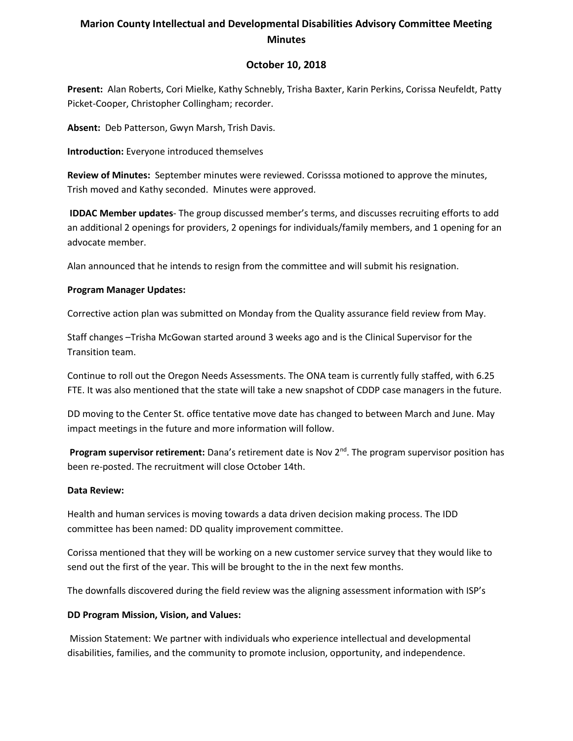# **Marion County Intellectual and Developmental Disabilities Advisory Committee Meeting Minutes**

## **October 10, 2018**

**Present:** Alan Roberts, Cori Mielke, Kathy Schnebly, Trisha Baxter, Karin Perkins, Corissa Neufeldt, Patty Picket-Cooper, Christopher Collingham; recorder.

**Absent:** Deb Patterson, Gwyn Marsh, Trish Davis.

**Introduction:** Everyone introduced themselves

**Review of Minutes:** September minutes were reviewed. Corisssa motioned to approve the minutes, Trish moved and Kathy seconded. Minutes were approved.

**IDDAC Member updates**- The group discussed member's terms, and discusses recruiting efforts to add an additional 2 openings for providers, 2 openings for individuals/family members, and 1 opening for an advocate member.

Alan announced that he intends to resign from the committee and will submit his resignation.

### **Program Manager Updates:**

Corrective action plan was submitted on Monday from the Quality assurance field review from May.

Staff changes –Trisha McGowan started around 3 weeks ago and is the Clinical Supervisor for the Transition team.

Continue to roll out the Oregon Needs Assessments. The ONA team is currently fully staffed, with 6.25 FTE. It was also mentioned that the state will take a new snapshot of CDDP case managers in the future.

DD moving to the Center St. office tentative move date has changed to between March and June. May impact meetings in the future and more information will follow.

Program supervisor retirement: Dana's retirement date is Nov 2<sup>nd</sup>. The program supervisor position has been re-posted. The recruitment will close October 14th.

### **Data Review:**

Health and human services is moving towards a data driven decision making process. The IDD committee has been named: DD quality improvement committee.

Corissa mentioned that they will be working on a new customer service survey that they would like to send out the first of the year. This will be brought to the in the next few months.

The downfalls discovered during the field review was the aligning assessment information with ISP's

### **DD Program Mission, Vision, and Values:**

Mission Statement: We partner with individuals who experience intellectual and developmental disabilities, families, and the community to promote inclusion, opportunity, and independence.